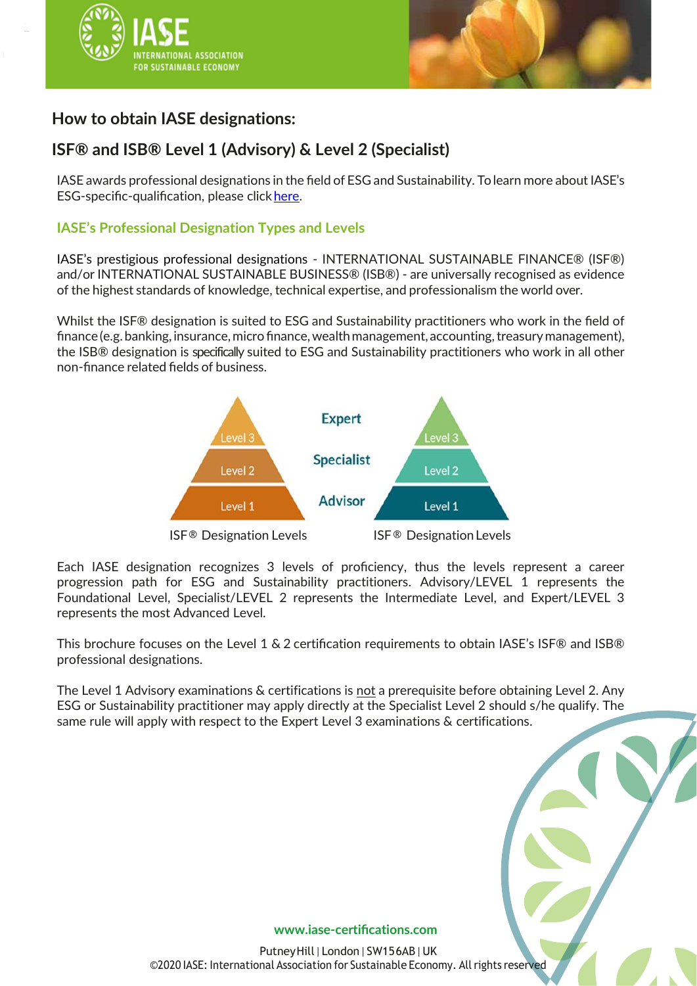



# **How to obtain IASE designations:**

# **ISF® and ISB® Level 1 (Advisory) & Level 2 (Specialist)**

IASE awards professional designations in the field of ESG and Sustainability. Tolearn more about IASE's ESG-specific-qualification, please click [here.](https://iase-certifications.com/what-we-do/#_qualification)

## **IASE's Professional Designation Types and Levels**

IASE's prestigious professional designations - INTERNATIONAL SUSTAINABLE FINANCE® (ISF®) and/or INTERNATIONAL SUSTAINABLE BUSINESS® (ISB®) - are universally recognised as evidence of the highest standards of knowledge, technical expertise, and professionalism the world over.

Whilst the ISF® designation is suited to ESG and Sustainability practitioners who work in the field of finance (e.g. banking, insurance, micro finance, wealth management, accounting, treasury management), the ISB® designation is specifically suited to ESG and Sustainability practitioners who work in all other non-finance related fields of business.



Each IASE designation recognizes 3 levels of proficiency, thus the levels represent a career progression path for ESG and Sustainability practitioners. Advisory/LEVEL 1 represents the Foundational Level, Specialist/LEVEL 2 represents the Intermediate Level, and Expert/LEVEL 3 represents the most Advanced Level.

This brochure focuses on the Level 1 & 2 certification requirements to obtain IASE's ISF® and ISB® professional designations.

The Level 1 Advisory examinations & certifications is not a prerequisite before obtaining Level 2. Any ESG or Sustainability practitioner may apply directly at the Specialist Level 2 should s/he qualify. The same rule will apply with respect to the Expert Level 3 examinations & certifications.

### **www.iase-[certifications.com](http://www.iase-certifications.com/)**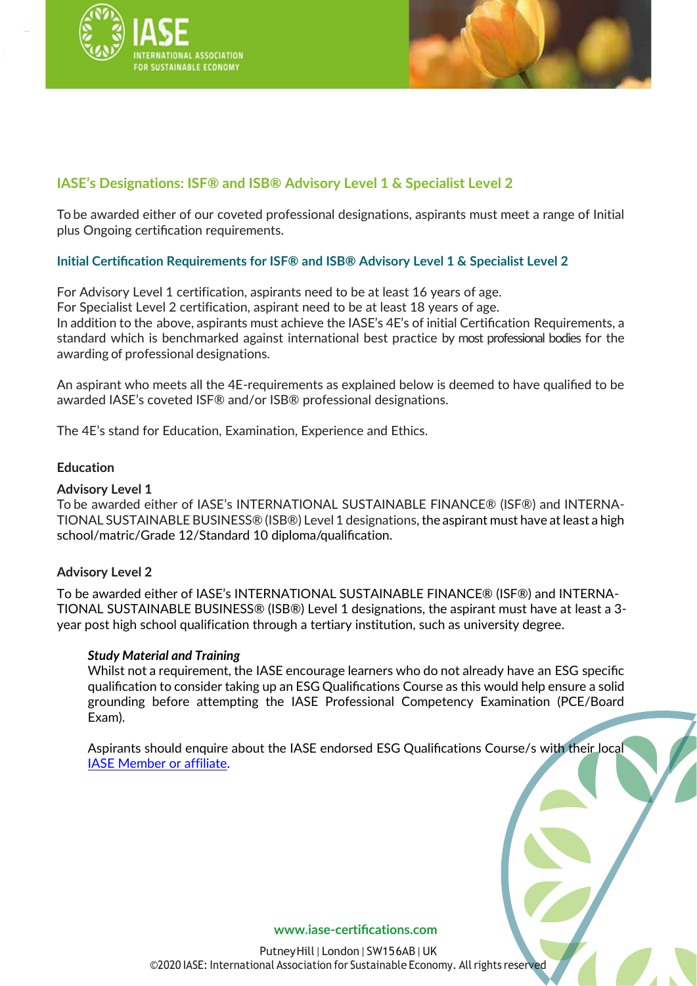



## **IASE's Designations: ISF® and ISB® Advisory Level 1 & Specialist Level 2**

To be awarded either of our coveted professional designations, aspirants must meet a range of Initial plus Ongoing certification requirements.

## **Initial Certification Requirements for ISF® and ISB® Advisory Level 1 & Specialist Level 2**

For Advisory Level 1 certification, aspirants need to be at least 16 years of age. For Specialist Level 2 certification, aspirant need to be at least 18 years of age. In addition to the above, aspirants must achieve the IASE's 4E's of initial Certification Requirements, a standard which is benchmarked against international best practice by most professional bodies for the awarding of professional designations.

An aspirant who meets all the 4E-requirements as explained below is deemed to have qualified to be awarded IASE's coveted ISF® and/or ISB® professional designations.

The 4E's stand for Education, Examination, Experience and Ethics.

## **Education**

## **Advisory Level 1**

To be awarded either of IASE's INTERNATIONAL SUSTAINABLE FINANCE® (ISF®) and INTERNA-TIONAL SUSTAINABLE BUSINESS® (ISB®) Level 1 designations,the aspirant must have atleast a high school/matric/Grade 12/Standard 10 diploma/qualification.

### **Advisory Level 2**

To be awarded either of IASE's INTERNATIONAL SUSTAINABLE FINANCE® (ISF®) and INTERNA-TIONAL SUSTAINABLE BUSINESS® (ISB®) Level 1 designations, the aspirant must have at least a 3 year post high school qualification through a tertiary institution, such as university degree.

### *Study Material and Training*

Whilst not a requirement, the IASE encourage learners who do not already have an ESG specific qualification to consider taking up an ESG Qualifications Course as this would help ensure a solid grounding before attempting the IASE Professional Competency Examination (PCE/Board Exam).

Aspirants should enquire about the IASE endorsed ESG Qualifications Course/s with their local IASE [Member or](https://www.iase-certifications.com/en/esg#locations) affiliate.

#### **www.iase-[certifications.com](http://www.iase-certifications.com/)**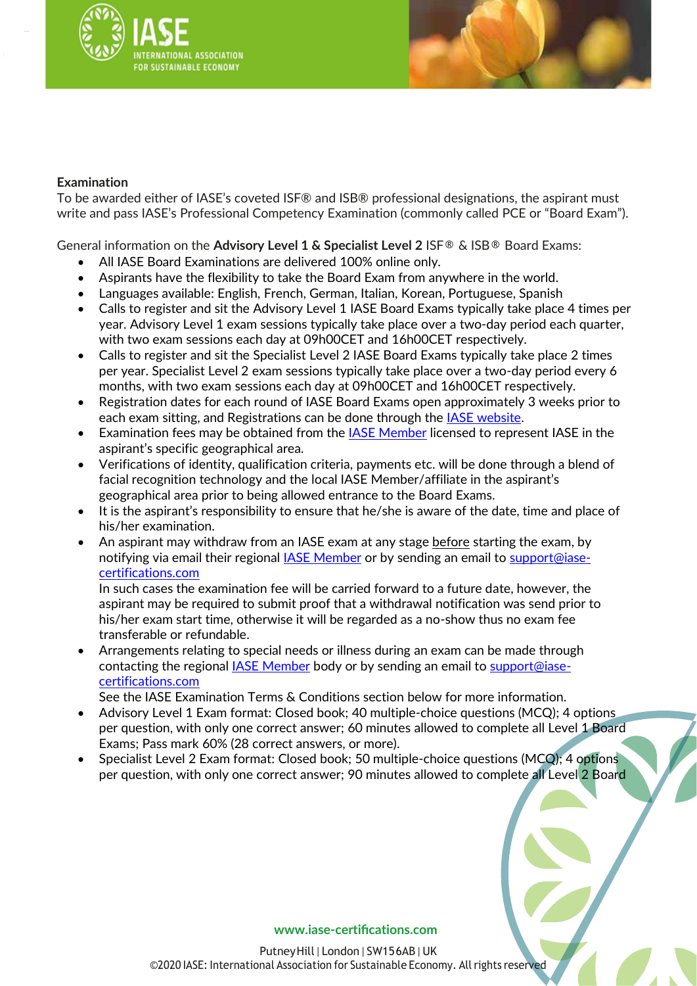



## **Examination**

To be awarded either of IASE's coveted ISF® and ISB® professional designations, the aspirant must write and pass IASE's Professional Competency Examination (commonly called PCE or "Board Exam").

General information on the **Advisory Level 1 & Specialist Level 2** ISF® & ISB® Board Exams:

- All IASE Board Examinations are delivered 100% online only.
- Aspirants have the flexibility to take the Board Exam from anywhere in the world.
- Languages available: English, French, German, Italian, Korean, Portuguese, Spanish
- Calls to register and sit the Advisory Level 1 IASE Board Exams typically take place 4 times per year. Advisory Level 1 exam sessions typically take place over a two-day period each quarter, with two exam sessions each day at 09h00CET and 16h00CET respectively.
- Calls to register and sit the Specialist Level 2 IASE Board Exams typically take place 2 times per year. Specialist Level 2 exam sessions typically take place over a two-day period every 6 months, with two exam sessions each day at 09h00CET and 16h00CET respectively.
- Registration dates for each round of IASE Board Exams open approximately 3 weeks prior to each exam sitting, and Registrations can be done through the [IASE website.](https://www.iase-certifications.com/en/)
- Examination fees may be obtained from the [IASE Member](https://www.iase-certifications.com/en/esg#locations) licensed to represent IASE in the aspirant's specific geographical area.
- Verifications of identity, qualification criteria, payments etc. will be done through a blend of facial recognition technology and the local IASE Member/affiliate in the aspirant's geographical area prior to being allowed entrance to the Board Exams.
- It is the aspirant's responsibility to ensure that he/she is aware of the date, time and place of his/her examination.
- An aspirant may withdraw from an IASE exam at any stage **before** starting the exam, by notifying via email their regional [IASE Member](https://www.iase-certifications.com/en/esg#locations) or by sending an email to [support@iase](mailto:support@iase-certifications.com)[certifications.com](mailto:support@iase-certifications.com)

In such cases the examination fee will be carried forward to a future date, however, the aspirant may be required to submit proof that a withdrawal notification was send prior to his/her exam start time, otherwise it will be regarded as a no-show thus no exam fee transferable or refundable.

• Arrangements relating to special needs or illness during an exam can be made through contacting the regional [IASE Member](https://www.iase-certifications.com/en/esg#locations) body or by sending an email to [support@iase](mailto:support@iase-certifications.com)[certifications.com](mailto:support@iase-certifications.com)

See the IASE Examination Terms & Conditions section below for more information.

- Advisory Level 1 Exam format: Closed book; 40 multiple-choice questions (MCQ); 4 options per question, with only one correct answer; 60 minutes allowed to complete all Level 1 Board Exams; Pass mark 60% (28 correct answers, or more).
- Specialist Level 2 Exam format: Closed book; 50 multiple-choice questions (MCQ); 4 options per question, with only one correct answer; 90 minutes allowed to complete all Level 2 Board

#### **www.iase-[certifications.com](http://www.iase-certifications.com/)**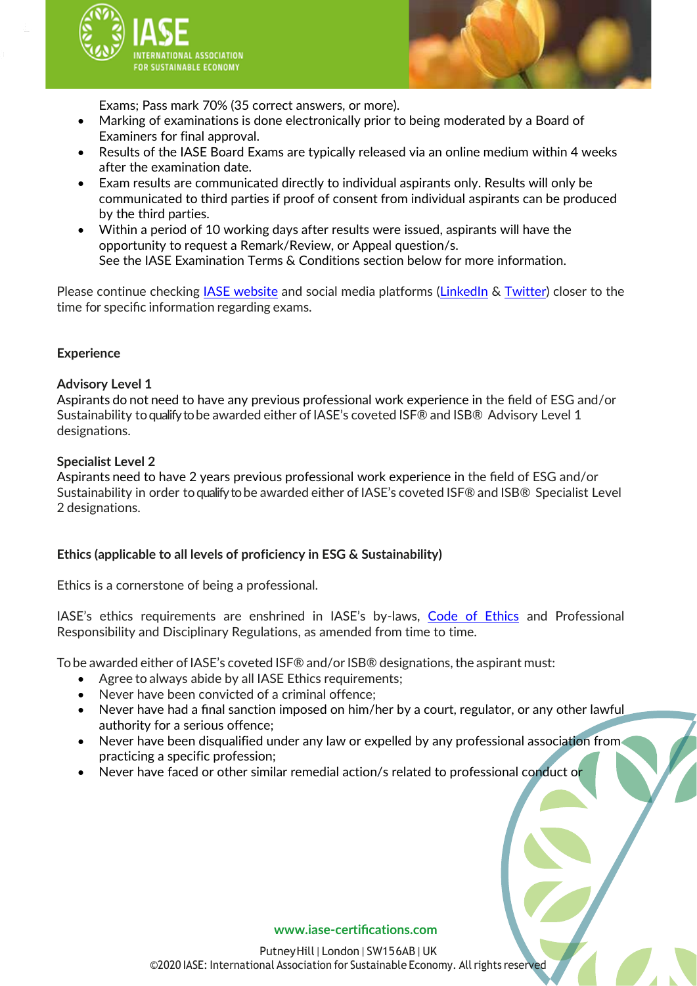



Exams; Pass mark 70% (35 correct answers, or more).

- Marking of examinations is done electronically prior to being moderated by a Board of Examiners for final approval.
- Results of the IASE Board Exams are typically released via an online medium within 4 weeks after the examination date.
- Exam results are communicated directly to individual aspirants only. Results will only be communicated to third parties if proof of consent from individual aspirants can be produced by the third parties.
- Within a period of 10 working days after results were issued, aspirants will have the opportunity to request a Remark/Review, or Appeal question/s. See the IASE Examination Terms & Conditions section below for more information.

Please continue checking [IASE website](https://www.iase-certifications.com/en/) and social media platforms [\(LinkedIn](https://www.linkedin.com/company/iase-certifications/mycompany/) & [Twitter\)](https://twitter.com/esg_iase) closer to the time for specific information regarding exams.

## **Experience**

## **Advisory Level 1**

Aspirants do not need to have any previous professional work experience in the field of ESG and/or Sustainability toqualify to be awarded either of IASE's coveted ISF® and ISB® Advisory Level 1 designations.

## **Specialist Level 2**

Aspirants need to have 2 years previous professional work experience in the field of ESG and/or Sustainability in order toqualify to be awarded either of IASE's coveted ISF® and ISB® Specialist Level 2 designations.

## **Ethics (applicable to all levels of proficiency in ESG & Sustainability)**

Ethics is a cornerstone of being a professional.

IASE's ethics requirements are enshrined in IASE's by-laws, [Code of Ethics](https://www.iase-certifications.com/en/esg#code_of_ethics) and Professional Responsibility and Disciplinary Regulations, as amended from time to time.

To be awarded either of IASE's coveted ISF® and/or ISB® designations, the aspirant must:

- Agree to always abide by all IASE Ethics requirements;
- Never have been convicted of a criminal offence;
- Never have had a final sanction imposed on him/her by a court, regulator, or any other lawful authority for a serious offence;
- Never have been disqualified under any law or expelled by any professional association from practicing a specific profession;
- Never have faced or other similar remedial action/s related to professional conduct or

### **www.iase-[certifications.com](http://www.iase-certifications.com/)**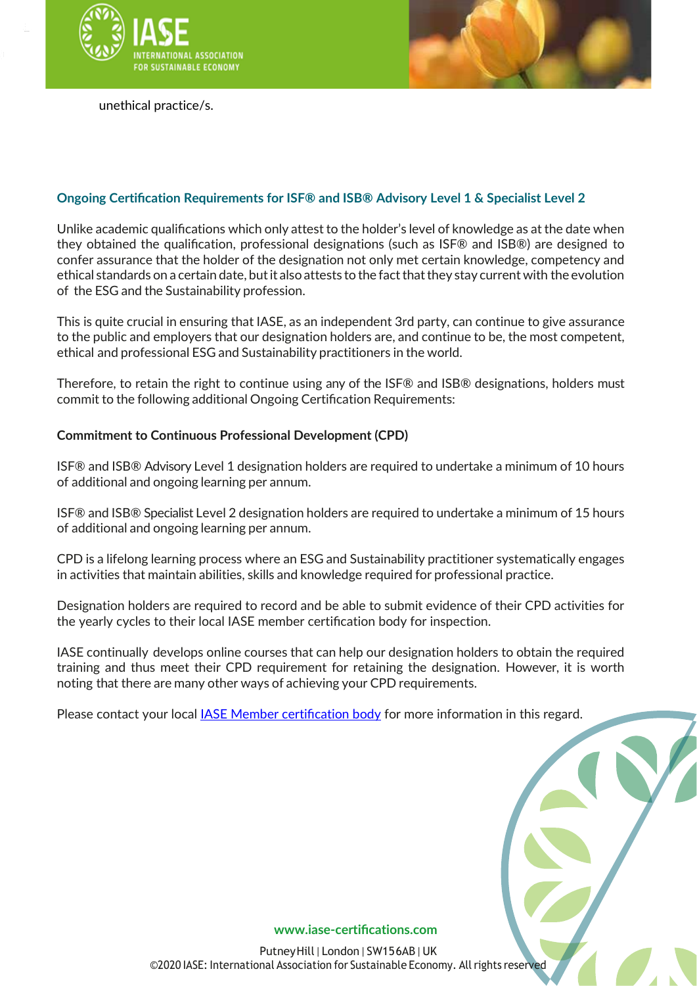



unethical practice/s.

## **Ongoing Certification Requirements for ISF® and ISB® Advisory Level 1 & Specialist Level 2**

Unlike academic qualifications which only attest to the holder's level of knowledge as at the date when they obtained the qualification, professional designations (such as ISF® and ISB®) are designed to confer assurance that the holder of the designation not only met certain knowledge, competency and ethical standards on a certain date, but it also attests to the fact that they stay current with the evolution of the ESG and the Sustainability profession.

This is quite crucial in ensuring that IASE, as an independent 3rd party, can continue to give assurance to the public and employers that our designation holders are, and continue to be, the most competent, ethical and professional ESG and Sustainability practitioners in the world.

Therefore, to retain the right to continue using any of the ISF® and ISB® designations, holders must commit to the following additional Ongoing Certification Requirements:

## **Commitment to Continuous Professional Development (CPD)**

ISF® and ISB® Advisory Level 1 designation holders are required to undertake a minimum of 10 hours of additional and ongoing learning per annum.

ISF® and ISB® Specialist Level 2 designation holders are required to undertake a minimum of 15 hours of additional and ongoing learning per annum.

CPD is a lifelong learning process where an ESG and Sustainability practitioner systematically engages in activities that maintain abilities, skills and knowledge required for professional practice.

Designation holders are required to record and be able to submit evidence of their CPD activities for the yearly cycles to their local IASE member certification body for inspection.

IASE continually develops online courses that can help our designation holders to obtain the required training and thus meet their CPD requirement for retaining the designation. However, it is worth noting that there are many other ways of achieving your CPD requirements.

Please contact your local [IASE Member certification body](https://www.iase-certifications.com/en/esg#locations) for more information in this regard.

**www.iase-[certifications.com](http://www.iase-certifications.com/)**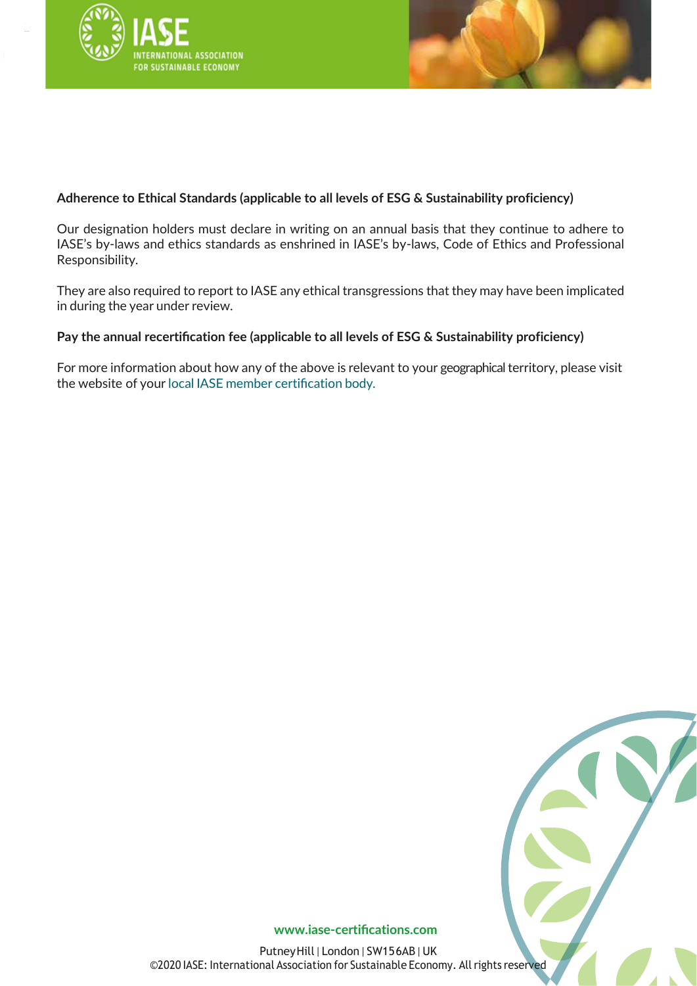



## **Adherence to Ethical Standards (applicable to all levels of ESG & Sustainability proficiency)**

Our designation holders must declare in writing on an annual basis that they continue to adhere to IASE's by-laws and ethics standards as enshrined in IASE's by-laws, Code of Ethics and Professional Responsibility.

They are also required to report to IASE any ethical transgressions that they may have been implicated in during the year under review.

## **Pay the annual recertification fee (applicable to all levels of ESG & Sustainability proficiency)**

For more information about how any of the above is relevant to your geographical territory, please visit the website of your local IASE member [certification](https://iase-certifications.com/about/#MemberOrganizationsAbout) body.



**www.iase-[certifications.com](http://www.iase-certifications.com/)**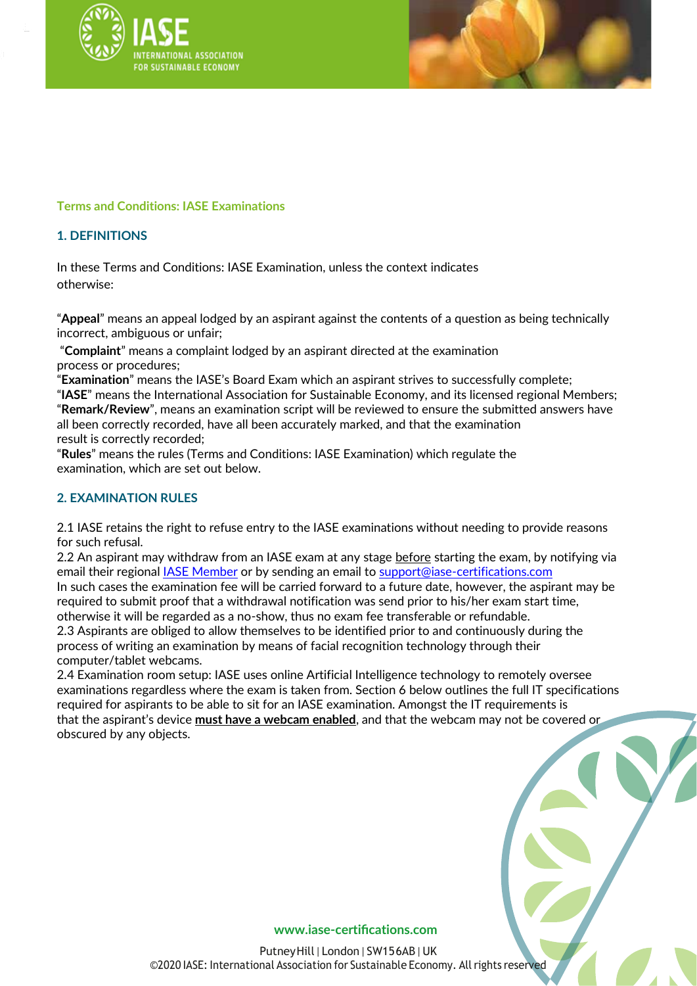



## **Terms and Conditions: IASE Examinations**

## **1. DEFINITIONS**

In these Terms and Conditions: IASE Examination, unless the context indicates otherwise:

"**Appeal**" means an appeal lodged by an aspirant against the contents of a question as being technically incorrect, ambiguous or unfair;

"**Complaint**" means a complaint lodged by an aspirant directed at the examination process or procedures;

"**Examination**" means the IASE's Board Exam which an aspirant strives to successfully complete;

"**IASE**" means the International Association for Sustainable Economy, and its licensed regional Members; "**Remark/Review**", means an examination script will be reviewed to ensure the submitted answers have all been correctly recorded, have all been accurately marked, and that the examination result is correctly recorded;

"**Rules**" means the rules (Terms and Conditions: IASE Examination) which regulate the examination, which are set out below.

## **2. EXAMINATION RULES**

2.1 IASE retains the right to refuse entry to the IASE examinations without needing to provide reasons for such refusal.

2.2 An aspirant may withdraw from an IASE exam at any stage before starting the exam, by notifying via email their regional **IASE Member or by sending an email to [support@iase-certifications.com](mailto:support@iase-certifications.com)** In such cases the examination fee will be carried forward to a future date, however, the aspirant may be required to submit proof that a withdrawal notification was send prior to his/her exam start time, otherwise it will be regarded as a no-show, thus no exam fee transferable or refundable.

2.3 Aspirants are obliged to allow themselves to be identified prior to and continuously during the process of writing an examination by means of facial recognition technology through their computer/tablet webcams.

2.4 Examination room setup: IASE uses online Artificial Intelligence technology to remotely oversee examinations regardless where the exam is taken from. Section 6 below outlines the full IT specifications required for aspirants to be able to sit for an IASE examination. Amongst the IT requirements is that the aspirant's device **must have a webcam enabled**, and that the webcam may not be covered or obscured by any objects.

#### **www.iase-[certifications.com](http://www.iase-certifications.com/)**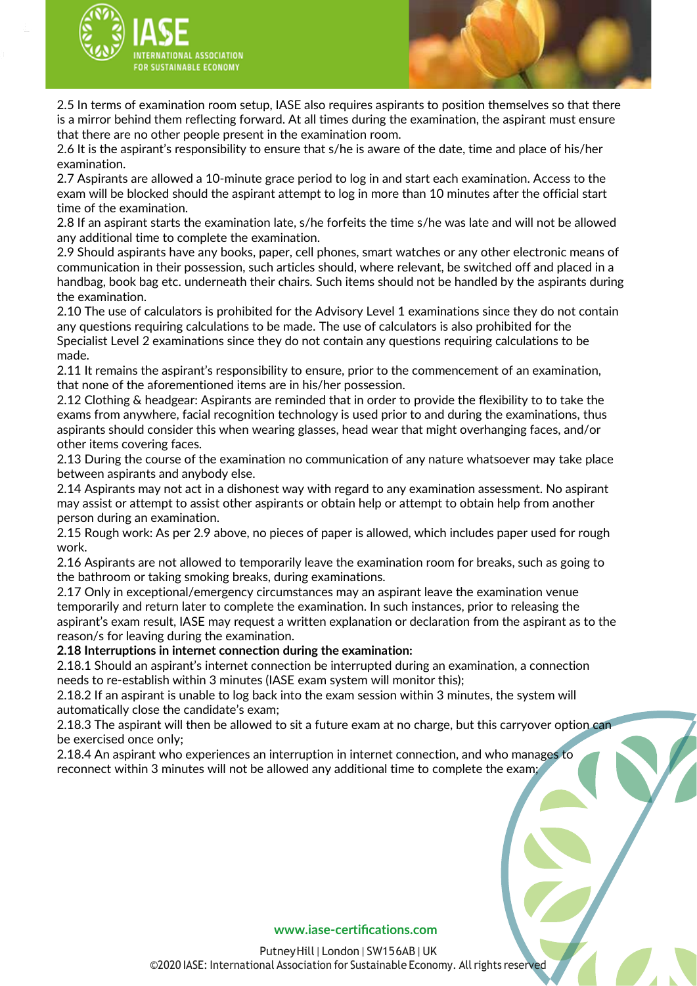



2.5 In terms of examination room setup, IASE also requires aspirants to position themselves so that there is a mirror behind them reflecting forward. At all times during the examination, the aspirant must ensure that there are no other people present in the examination room.

2.6 It is the aspirant's responsibility to ensure that s/he is aware of the date, time and place of his/her examination.

2.7 Aspirants are allowed a 10-minute grace period to log in and start each examination. Access to the exam will be blocked should the aspirant attempt to log in more than 10 minutes after the official start time of the examination.

2.8 If an aspirant starts the examination late, s/he forfeits the time s/he was late and will not be allowed any additional time to complete the examination.

2.9 Should aspirants have any books, paper, cell phones, smart watches or any other electronic means of communication in their possession, such articles should, where relevant, be switched off and placed in a handbag, book bag etc. underneath their chairs. Such items should not be handled by the aspirants during the examination.

2.10 The use of calculators is prohibited for the Advisory Level 1 examinations since they do not contain any questions requiring calculations to be made. The use of calculators is also prohibited for the Specialist Level 2 examinations since they do not contain any questions requiring calculations to be made.

2.11 It remains the aspirant's responsibility to ensure, prior to the commencement of an examination, that none of the aforementioned items are in his/her possession.

2.12 Clothing & headgear: Aspirants are reminded that in order to provide the flexibility to to take the exams from anywhere, facial recognition technology is used prior to and during the examinations, thus aspirants should consider this when wearing glasses, head wear that might overhanging faces, and/or other items covering faces.

2.13 During the course of the examination no communication of any nature whatsoever may take place between aspirants and anybody else.

2.14 Aspirants may not act in a dishonest way with regard to any examination assessment. No aspirant may assist or attempt to assist other aspirants or obtain help or attempt to obtain help from another person during an examination.

2.15 Rough work: As per 2.9 above, no pieces of paper is allowed, which includes paper used for rough work.

2.16 Aspirants are not allowed to temporarily leave the examination room for breaks, such as going to the bathroom or taking smoking breaks, during examinations.

2.17 Only in exceptional/emergency circumstances may an aspirant leave the examination venue temporarily and return later to complete the examination. In such instances, prior to releasing the aspirant's exam result, IASE may request a written explanation or declaration from the aspirant as to the reason/s for leaving during the examination.

**2.18 Interruptions in internet connection during the examination:**

2.18.1 Should an aspirant's internet connection be interrupted during an examination, a connection needs to re-establish within 3 minutes (IASE exam system will monitor this);

2.18.2 If an aspirant is unable to log back into the exam session within 3 minutes, the system will automatically close the candidate's exam;

2.18.3 The aspirant will then be allowed to sit a future exam at no charge, but this carryover option can be exercised once only;

2.18.4 An aspirant who experiences an interruption in internet connection, and who manages to reconnect within 3 minutes will not be allowed any additional time to complete the exam;

#### **www.iase-[certifications.com](http://www.iase-certifications.com/)**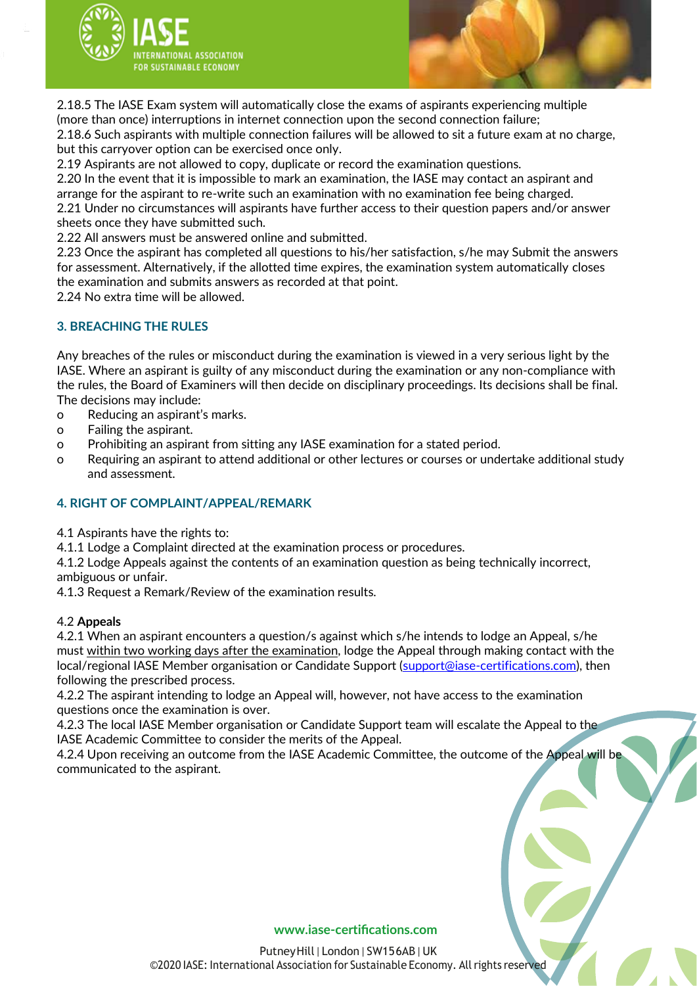



2.18.5 The IASE Exam system will automatically close the exams of aspirants experiencing multiple (more than once) interruptions in internet connection upon the second connection failure; 2.18.6 Such aspirants with multiple connection failures will be allowed to sit a future exam at no charge, but this carryover option can be exercised once only.

2.19 Aspirants are not allowed to copy, duplicate or record the examination questions.

2.20 In the event that it is impossible to mark an examination, the IASE may contact an aspirant and arrange for the aspirant to re-write such an examination with no examination fee being charged. 2.21 Under no circumstances will aspirants have further access to their question papers and/or answer sheets once they have submitted such.

2.22 All answers must be answered online and submitted.

2.23 Once the aspirant has completed all questions to his/her satisfaction, s/he may Submit the answers for assessment. Alternatively, if the allotted time expires, the examination system automatically closes the examination and submits answers as recorded at that point.

2.24 No extra time will be allowed.

## **3. BREACHING THE RULES**

Any breaches of the rules or misconduct during the examination is viewed in a very serious light by the IASE. Where an aspirant is guilty of any misconduct during the examination or any non-compliance with the rules, the Board of Examiners will then decide on disciplinary proceedings. Its decisions shall be final. The decisions may include:

o Reducing an aspirant's marks.

- o Failing the aspirant.
- o Prohibiting an aspirant from sitting any IASE examination for a stated period.
- o Requiring an aspirant to attend additional or other lectures or courses or undertake additional study and assessment.

### **4. RIGHT OF COMPLAINT/APPEAL/REMARK**

4.1 Aspirants have the rights to:

4.1.1 Lodge a Complaint directed at the examination process or procedures.

4.1.2 Lodge Appeals against the contents of an examination question as being technically incorrect, ambiguous or unfair.

4.1.3 Request a Remark/Review of the examination results.

### 4.2 **Appeals**

4.2.1 When an aspirant encounters a question/s against which s/he intends to lodge an Appeal, s/he must within two working days after the examination, lodge the Appeal through making contact with the local/regional IASE Member organisation or Candidate Support [\(support@iase-certifications.com\)](mailto:support@iase-certifications.com), then following the prescribed process.

4.2.2 The aspirant intending to lodge an Appeal will, however, not have access to the examination questions once the examination is over.

4.2.3 The local IASE Member organisation or Candidate Support team will escalate the Appeal to the IASE Academic Committee to consider the merits of the Appeal.

4.2.4 Upon receiving an outcome from the IASE Academic Committee, the outcome of the Appeal will be communicated to the aspirant.

#### **www.iase-[certifications.com](http://www.iase-certifications.com/)**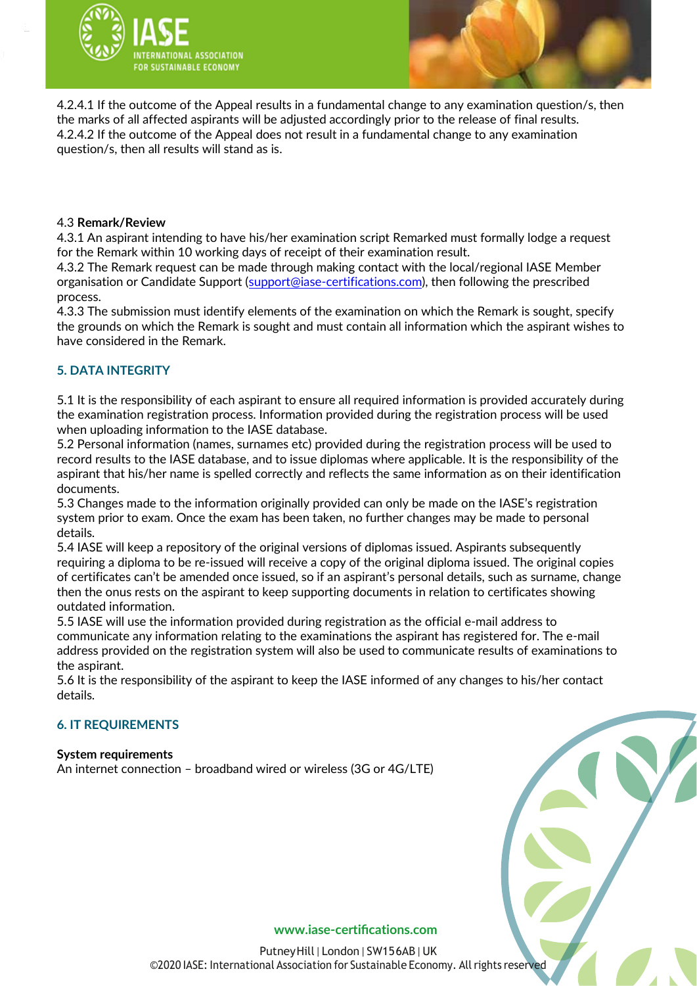



4.2.4.1 If the outcome of the Appeal results in a fundamental change to any examination question/s, then the marks of all affected aspirants will be adjusted accordingly prior to the release of final results. 4.2.4.2 If the outcome of the Appeal does not result in a fundamental change to any examination question/s, then all results will stand as is.

### 4.3 **Remark/Review**

4.3.1 An aspirant intending to have his/her examination script Remarked must formally lodge a request for the Remark within 10 working days of receipt of their examination result.

4.3.2 The Remark request can be made through making contact with the local/regional IASE Member organisation or Candidate Support [\(support@iase-certifications.com\)](mailto:support@iase-certifications.com), then following the prescribed process.

4.3.3 The submission must identify elements of the examination on which the Remark is sought, specify the grounds on which the Remark is sought and must contain all information which the aspirant wishes to have considered in the Remark.

## **5. DATA INTEGRITY**

5.1 It is the responsibility of each aspirant to ensure all required information is provided accurately during the examination registration process. Information provided during the registration process will be used when uploading information to the IASE database.

5.2 Personal information (names, surnames etc) provided during the registration process will be used to record results to the IASE database, and to issue diplomas where applicable. It is the responsibility of the aspirant that his/her name is spelled correctly and reflects the same information as on their identification documents.

5.3 Changes made to the information originally provided can only be made on the IASE's registration system prior to exam. Once the exam has been taken, no further changes may be made to personal details.

5.4 IASE will keep a repository of the original versions of diplomas issued. Aspirants subsequently requiring a diploma to be re-issued will receive a copy of the original diploma issued. The original copies of certificates can't be amended once issued, so if an aspirant's personal details, such as surname, change then the onus rests on the aspirant to keep supporting documents in relation to certificates showing outdated information.

5.5 IASE will use the information provided during registration as the official e-mail address to communicate any information relating to the examinations the aspirant has registered for. The e-mail address provided on the registration system will also be used to communicate results of examinations to the aspirant.

5.6 It is the responsibility of the aspirant to keep the IASE informed of any changes to his/her contact details.

### **6. IT REQUIREMENTS**

**System requirements** An internet connection – broadband wired or wireless (3G or 4G/LTE)

#### **www.iase-[certifications.com](http://www.iase-certifications.com/)**